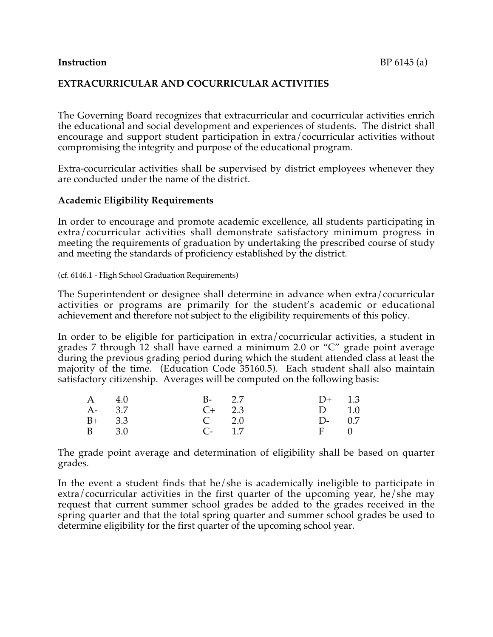#### **Instruction** BP 6145 (a)

### **EXTRACURRICULAR AND COCURRICULAR ACTIVITIES**

The Governing Board recognizes that extracurricular and cocurricular activities enrich the educational and social development and experiences of students. The district shall encourage and support student participation in extra/cocurricular activities without compromising the integrity and purpose of the educational program.

Extra-cocurricular activities shall be supervised by district employees whenever they are conducted under the name of the district.

### **Academic Eligibility Requirements**

In order to encourage and promote academic excellence, all students participating in extra/cocurricular activities shall demonstrate satisfactory minimum progress in meeting the requirements of graduation by undertaking the prescribed course of study and meeting the standards of proficiency established by the district.

(cf. 6146.1 - High School Graduation Requirements)

The Superintendent or designee shall determine in advance when extra/cocurricular activities or programs are primarily for the student's academic or educational achievement and therefore not subject to the eligibility requirements of this policy.

In order to be eligible for participation in extra/cocurricular activities, a student in grades 7 through 12 shall have earned a minimum 2.0 or "C" grade point average during the previous grading period during which the student attended class at least the majority of the time. (Education Code 35160.5). Each student shall also maintain satisfactory citizenship. Averages will be computed on the following basis:

| A 4.0    | $B - 2.7$      | $D+$ 1.3   |  |
|----------|----------------|------------|--|
| A- 3.7   | $C+$ 2.3       | $D \t 1.0$ |  |
| $B+$ 3.3 | $C \t 2.0$     | $D-0.7$    |  |
| B 3.0    | $C_{\tau}$ 1.7 | $F \t 0$   |  |

The grade point average and determination of eligibility shall be based on quarter grades.

In the event a student finds that he/she is academically ineligible to participate in extra/cocurricular activities in the first quarter of the upcoming year, he/she may request that current summer school grades be added to the grades received in the spring quarter and that the total spring quarter and summer school grades be used to determine eligibility for the first quarter of the upcoming school year.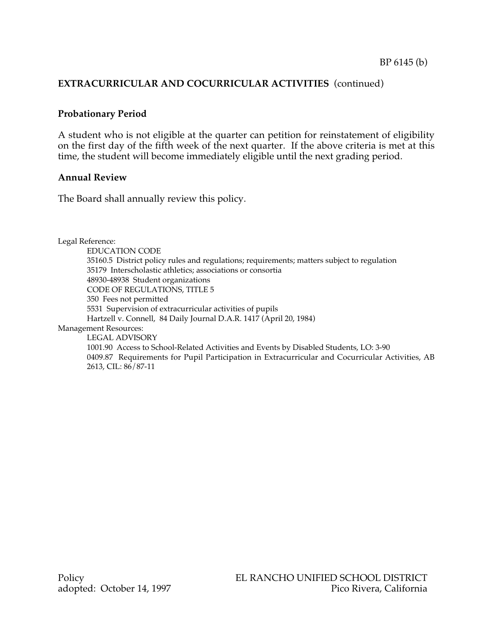## **EXTRACURRICULAR AND COCURRICULAR ACTIVITIES** (continued)

### **Probationary Period**

A student who is not eligible at the quarter can petition for reinstatement of eligibility on the first day of the fifth week of the next quarter. If the above criteria is met at this time, the student will become immediately eligible until the next grading period.

#### **Annual Review**

The Board shall annually review this policy.

Legal Reference:

EDUCATION CODE 35160.5 District policy rules and regulations; requirements; matters subject to regulation 35179 Interscholastic athletics; associations or consortia 48930-48938 Student organizations CODE OF REGULATIONS, TITLE 5 350 Fees not permitted 5531 Supervision of extracurricular activities of pupils Hartzell v. Connell, 84 Daily Journal D.A.R. 1417 (April 20, 1984) Management Resources: LEGAL ADVISORY 1001.90 Access to School-Related Activities and Events by Disabled Students, LO: 3-90 0409.87 Requirements for Pupil Participation in Extracurricular and Cocurricular Activities, AB

2613, CIL: 86/87-11